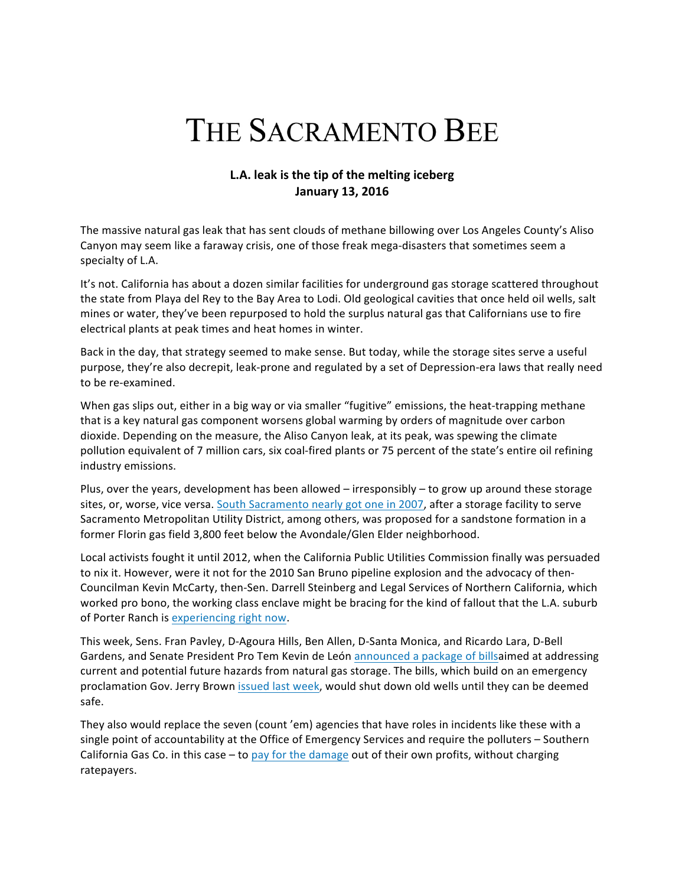## THE SACRAMENTO BEE

## **L.A.** leak is the tip of the melting iceberg **January 13, 2016**

The massive natural gas leak that has sent clouds of methane billowing over Los Angeles County's Aliso Canyon may seem like a faraway crisis, one of those freak mega-disasters that sometimes seem a specialty of L.A.

It's not. California has about a dozen similar facilities for underground gas storage scattered throughout the state from Playa del Rey to the Bay Area to Lodi. Old geological cavities that once held oil wells, salt mines or water, they've been repurposed to hold the surplus natural gas that Californians use to fire electrical plants at peak times and heat homes in winter.

Back in the day, that strategy seemed to make sense. But today, while the storage sites serve a useful purpose, they're also decrepit, leak-prone and regulated by a set of Depression-era laws that really need to be re-examined.

When gas slips out, either in a big way or via smaller "fugitive" emissions, the heat-trapping methane that is a key natural gas component worsens global warming by orders of magnitude over carbon dioxide. Depending on the measure, the Aliso Canyon leak, at its peak, was spewing the climate pollution equivalent of 7 million cars, six coal-fired plants or 75 percent of the state's entire oil refining industry emissions.

Plus, over the years, development has been allowed – irresponsibly – to grow up around these storage sites, or, worse, vice versa. South Sacramento nearly got one in 2007, after a storage facility to serve Sacramento Metropolitan Utility District, among others, was proposed for a sandstone formation in a former Florin gas field 3,800 feet below the Avondale/Glen Elder neighborhood.

Local activists fought it until 2012, when the California Public Utilities Commission finally was persuaded to nix it. However, were it not for the 2010 San Bruno pipeline explosion and the advocacy of then-Councilman Kevin McCarty, then-Sen. Darrell Steinberg and Legal Services of Northern California, which worked pro bono, the working class enclave might be bracing for the kind of fallout that the L.A. suburb of Porter Ranch is experiencing right now.

This week, Sens. Fran Pavley, D-Agoura Hills, Ben Allen, D-Santa Monica, and Ricardo Lara, D-Bell Gardens, and Senate President Pro Tem Kevin de León announced a package of billsaimed at addressing current and potential future hazards from natural gas storage. The bills, which build on an emergency proclamation Gov. Jerry Brown issued last week, would shut down old wells until they can be deemed safe.

They also would replace the seven (count 'em) agencies that have roles in incidents like these with a single point of accountability at the Office of Emergency Services and require the polluters – Southern California Gas Co. in this case  $-$  to pay for the damage out of their own profits, without charging ratepayers.